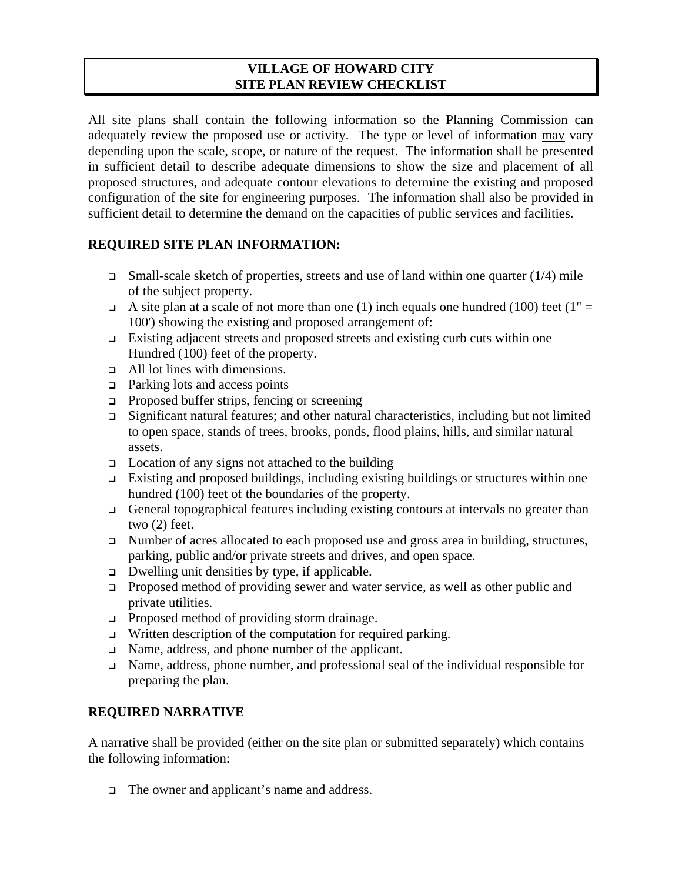## **VILLAGE OF HOWARD CITY SITE PLAN REVIEW CHECKLIST**

All site plans shall contain the following information so the Planning Commission can adequately review the proposed use or activity. The type or level of information may vary depending upon the scale, scope, or nature of the request. The information shall be presented in sufficient detail to describe adequate dimensions to show the size and placement of all proposed structures, and adequate contour elevations to determine the existing and proposed configuration of the site for engineering purposes. The information shall also be provided in sufficient detail to determine the demand on the capacities of public services and facilities.

## **REQUIRED SITE PLAN INFORMATION:**

- $\Box$  Small-scale sketch of properties, streets and use of land within one quarter (1/4) mile of the subject property.
- A site plan at a scale of not more than one (1) inch equals one hundred (100) feet (1" = 100') showing the existing and proposed arrangement of:
- $\Box$  Existing adjacent streets and proposed streets and existing curb cuts within one Hundred (100) feet of the property.
- All lot lines with dimensions.
- $\Box$  Parking lots and access points
- $\Box$  Proposed buffer strips, fencing or screening
- Significant natural features; and other natural characteristics, including but not limited to open space, stands of trees, brooks, ponds, flood plains, hills, and similar natural assets.
- $\Box$  Location of any signs not attached to the building
- $\Box$  Existing and proposed buildings, including existing buildings or structures within one hundred (100) feet of the boundaries of the property.
- General topographical features including existing contours at intervals no greater than two (2) feet.
- □ Number of acres allocated to each proposed use and gross area in building, structures, parking, public and/or private streets and drives, and open space.
- $\Box$  Dwelling unit densities by type, if applicable.
- Proposed method of providing sewer and water service, as well as other public and private utilities.
- □ Proposed method of providing storm drainage.
- $\Box$  Written description of the computation for required parking.
- Name, address, and phone number of the applicant.
- Name, address, phone number, and professional seal of the individual responsible for preparing the plan.

## **REQUIRED NARRATIVE**

A narrative shall be provided (either on the site plan or submitted separately) which contains the following information:

□ The owner and applicant's name and address.